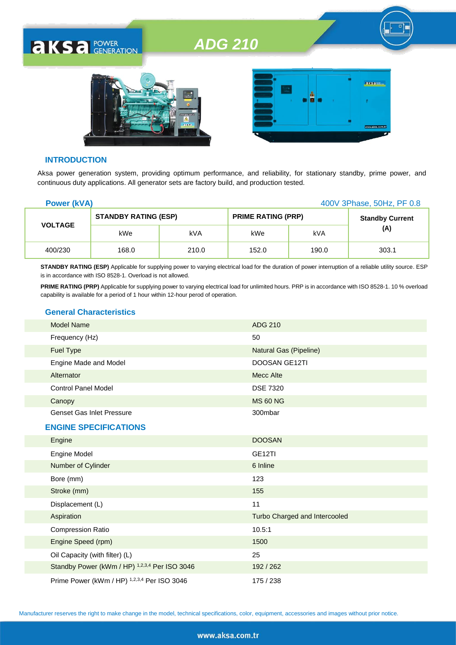



#### **INTRODUCTION**

**AKSA POWER** 

Aksa power generation system, providing optimum performance, and reliability, for stationary standby, prime power, and continuous duty applications. All generator sets are factory build, and production tested.

| <b>Power (kVA)</b> |                             |       |                           | 400V 3Phase, 50Hz, PF 0.8 |                        |  |
|--------------------|-----------------------------|-------|---------------------------|---------------------------|------------------------|--|
| <b>VOLTAGE</b>     | <b>STANDBY RATING (ESP)</b> |       | <b>PRIME RATING (PRP)</b> |                           | <b>Standby Current</b> |  |
|                    | kWe                         | kVA   | kWe                       | kVA                       | (A)                    |  |
| 400/230            | 168.0                       | 210.0 | 152.0                     | 190.0                     | 303.1                  |  |

**STANDBY RATING (ESP)** Applicable for supplying power to varying electrical load for the duration of power interruption of a reliable utility source. ESP is in accordance with ISO 8528-1. Overload is not allowed.

**PRIME RATING (PRP)** Applicable for supplying power to varying electrical load for unlimited hours. PRP is in accordance with ISO 8528-1. 10 % overload capability is available for a period of 1 hour within 12-hour perod of operation.

#### **General Characteristics**

| <b>Model Name</b>                | ADG 210                       |
|----------------------------------|-------------------------------|
| Frequency (Hz)                   | 50                            |
| <b>Fuel Type</b>                 | <b>Natural Gas (Pipeline)</b> |
| Engine Made and Model            | <b>DOOSAN GE12TI</b>          |
| Alternator                       | Mecc Alte                     |
| <b>Control Panel Model</b>       | <b>DSE 7320</b>               |
| Canopy                           | <b>MS 60 NG</b>               |
| <b>Genset Gas Inlet Pressure</b> | 300mbar                       |
| <b>ENGINE SPECIFICATIONS</b>     |                               |
| Engine                           | <b>DOOSAN</b>                 |
|                                  |                               |

| <b>Engine</b>                                 | <b>DUUSAN</b>                 |
|-----------------------------------------------|-------------------------------|
| <b>Engine Model</b>                           | GE <sub>12</sub> TI           |
| Number of Cylinder                            | 6 Inline                      |
| Bore (mm)                                     | 123                           |
| Stroke (mm)                                   | 155                           |
| Displacement (L)                              | 11                            |
| Aspiration                                    | Turbo Charged and Intercooled |
| <b>Compression Ratio</b>                      | 10.5:1                        |
| Engine Speed (rpm)                            | 1500                          |
| Oil Capacity (with filter) (L)                | 25                            |
| Standby Power (kWm / HP) 1,2,3,4 Per ISO 3046 | 192/262                       |
| Prime Power (kWm / HP) 1,2,3,4 Per ISO 3046   | 175 / 238                     |

Manufacturer reserves the right to make change in the model, technical specifications, color, equipment, accessories and images without prior notice.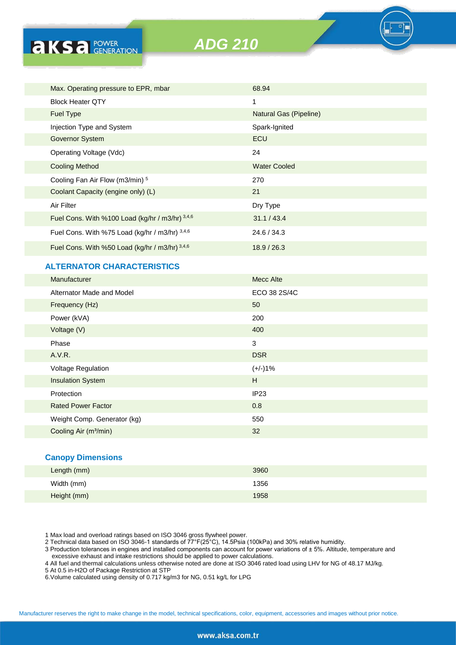

### **ALTERNATOR CHARACTERISTICS**

| Manufacturer                      | <b>Mecc Alte</b> |
|-----------------------------------|------------------|
| Alternator Made and Model         | ECO 38 2S/4C     |
| Frequency (Hz)                    | 50               |
| Power (kVA)                       | 200              |
| Voltage (V)                       | 400              |
| Phase                             | 3                |
| A.V.R.                            | <b>DSR</b>       |
| <b>Voltage Regulation</b>         | $(+/-)1%$        |
| <b>Insulation System</b>          | H                |
| Protection                        | IP <sub>23</sub> |
| <b>Rated Power Factor</b>         | 0.8              |
| Weight Comp. Generator (kg)       | 550              |
| Cooling Air (m <sup>3</sup> /min) | 32               |
|                                   |                  |

#### **Canopy Dimensions**

| Length (mm) | 3960 |
|-------------|------|
| Width (mm)  | 1356 |
| Height (mm) | 1958 |

1 Max load and overload ratings based on ISO 3046 gross flywheel power.

2 Technical data based on ISO 3046-1 standards of 77°F(25°C), 14.5Psia (100kPa) and 30% relative humidity.

3 Production tolerances in engines and installed components can account for power variations of ± 5%. Altitude, temperature and excessive exhaust and intake restrictions should be applied to power calculations.

4 All fuel and thermal calculations unless otherwise noted are done at ISO 3046 rated load using LHV for NG of 48.17 MJ/kg.

5 At 0.5 in-H2O of Package Restriction at STP

6.Volume calculated using density of 0.717 kg/m3 for NG, 0.51 kg/L for LPG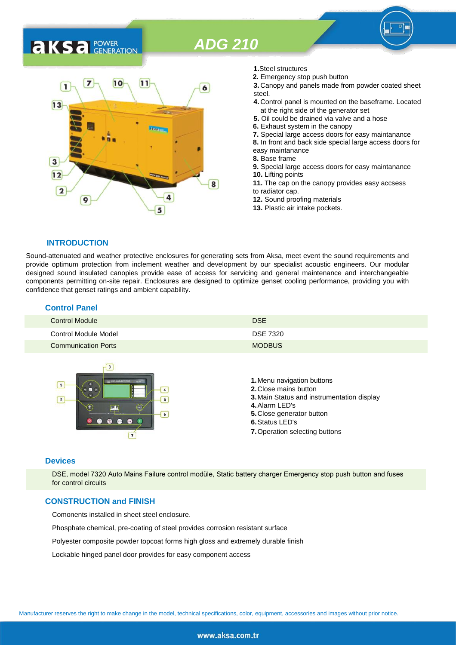# **AKS** *C C <b>C GENERATION*



- **1.**Steel structures
- **2.** Emergency stop push button
- **3.** Canopy and panels made from powder coated sheet steel.
- **4.** Control panel is mounted on the baseframe. Located at the right side of the generator set
- **5.** Oil could be drained via valve and a hose
- **6.** Exhaust system in the canopy
- **7.** Special large access doors for easy maintanance
- **8.** In front and back side special large access doors for
- easy maintanance
- **8.** Base frame
- **9.** Special large access doors for easy maintanance **10.** Lifting points **11.** The cap on the canopy provides easy accsess
- to radiator cap.
- **12.** Sound proofing materials
- **13.** Plastic air intake pockets.

#### **INTRODUCTION**

Sound-attenuated and weather protective enclosures for generating sets from Aksa, meet event the sound requirements and provide optimum protection from inclement weather and development by our specialist acoustic engineers. Our modular designed sound insulated canopies provide ease of access for servicing and general maintenance and interchangeable components permitting on-site repair. Enclosures are designed to optimize genset cooling performance, providing you with confidence that genset ratings and ambient capability.

#### **Control Panel**

| <b>Control Module</b>      | <b>DSE</b>      |
|----------------------------|-----------------|
| Control Module Model       | <b>DSE 7320</b> |
| <b>Communication Ports</b> | <b>MODBUS</b>   |



#### **Devices**

DSE, model 7320 Auto Mains Failure control modüle, Static battery charger Emergency stop push button and fuses for control circuits

#### **CONSTRUCTION and FINISH**

Comonents installed in sheet steel enclosure.

Phosphate chemical, pre-coating of steel provides corrosion resistant surface

Polyester composite powder topcoat forms high gloss and extremely durable finish

Lockable hinged panel door provides for easy component access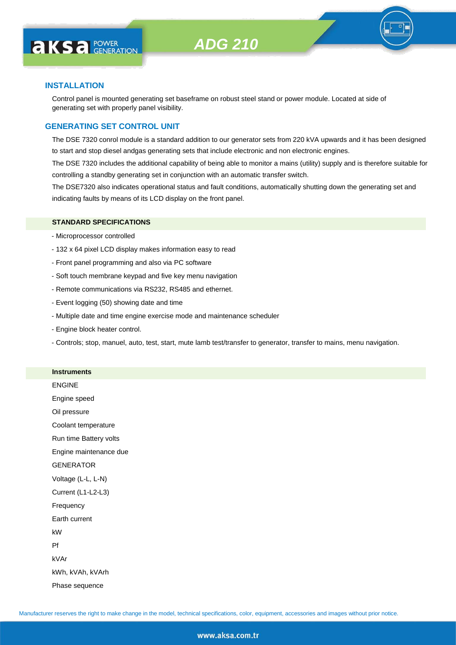

#### **INSTALLATION**

Control panel is mounted generating set baseframe on robust steel stand or power module. Located at side of generating set with properly panel visibility.

#### **GENERATING SET CONTROL UNIT**

The DSE 7320 conrol module is a standard addition to our generator sets from 220 kVA upwards and it has been designed to start and stop diesel andgas generating sets that include electronic and non electronic engines.

The DSE 7320 includes the additional capability of being able to monitor a mains (utility) supply and is therefore suitable for controlling a standby generating set in conjunction with an automatic transfer switch.

The DSE7320 also indicates operational status and fault conditions, automatically shutting down the generating set and indicating faults by means of its LCD display on the front panel.

#### **STANDARD SPECIFICATIONS**

- Microprocessor controlled
- 132 x 64 pixel LCD display makes information easy to read
- Front panel programming and also via PC software
- Soft touch membrane keypad and five key menu navigation
- Remote communications via RS232, RS485 and ethernet.
- Event logging (50) showing date and time
- Multiple date and time engine exercise mode and maintenance scheduler
- Engine block heater control.

**Instruments**

- Controls; stop, manuel, auto, test, start, mute lamb test/transfer to generator, transfer to mains, menu navigation.

| mstruments             |
|------------------------|
| <b>ENGINE</b>          |
| Engine speed           |
| Oil pressure           |
| Coolant temperature    |
| Run time Battery volts |
| Engine maintenance due |
| <b>GENERATOR</b>       |
| Voltage (L-L, L-N)     |
| Current (L1-L2-L3)     |
| Frequency              |
| Earth current          |
| kW                     |
| Pf                     |
| kVAr                   |
| kWh, kVAh, kVArh       |
| Phase sequence         |
|                        |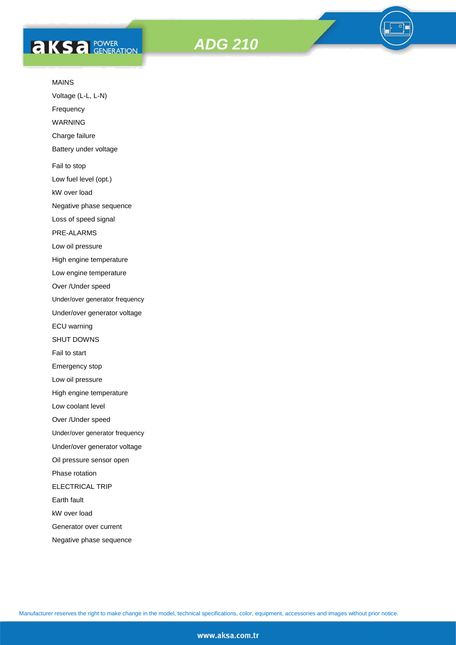## **AKS** *C ROWER*





#### MAINS

Voltage (L-L, L-N)

Frequency

WARNING

Charge failure

Battery under voltage

Fail to stop

Low fuel level (opt.)

kW over load

Negative phase sequence

Loss of speed signal

PRE-ALARMS

Low oil pressure

High engine temperature

Low engine temperature

Over /Under speed

Under/over generator frequency

Under/over generator voltage

ECU warning

SHUT DOWNS

Fail to start

Emergency stop

Low oil pressure

High engine temperature

Low coolant level

Over /Under speed

Under/over generator frequency

Under/over generator voltage

Oil pressure sensor open

Phase rotation

ELECTRICAL TRIP

Earth fault

kW over load

Generator over current

Negative phase sequence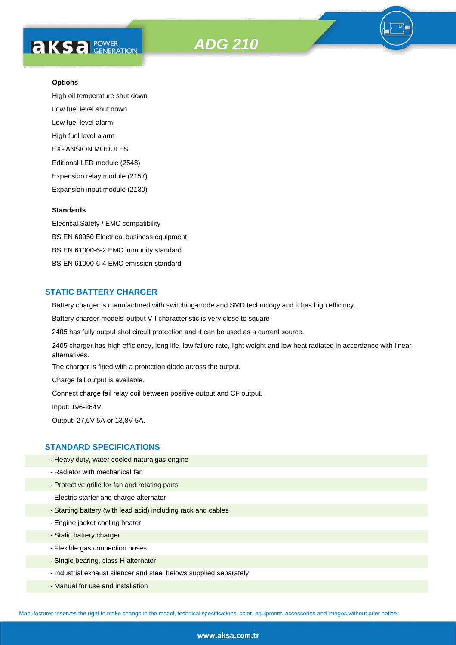# **AKS** *C* FOWER





High oil temperature shut down Low fuel level shut down Low fuel level alarm High fuel level alarm EXPANSION MODULES Editional LED module (2548) Expension relay module (2157) Expansion input module (2130)

#### **Standards**

Elecrical Safety / EMC compatibility BS EN 60950 Electrical business equipment BS EN 61000-6-2 EMC immunity standard BS EN 61000-6-4 EMC emission standard

#### **STATIC BATTERY CHARGER**

Battery charger is manufactured with switching-mode and SMD technology and it has high efficincy.

Battery charger models' output V-I characteristic is very close to square

2405 has fully output shot circuit protection and ıt can be used as a current source.

2405 charger has high efficiency, long life, low failure rate, light weight and low heat radiated in accordance with linear alternatives.

The charger is fitted with a protection diode across the output.

Charge fail output is available.

Connect charge fail relay coil between positive output and CF output.

Input: 196-264V.

Output: 27,6V 5A or 13,8V 5A.

#### **STANDARD SPECIFICATIONS**

- Heavy duty, water cooled naturalgas engine
- Radiator with mechanical fan
- Protective grille for fan and rotating parts
- Electric starter and charge alternator
- Starting battery (with lead acid) including rack and cables
- Engine jacket cooling heater
- Static battery charger
- Flexible gas connection hoses
- Single bearing, class H alternator
- Industrial exhaust silencer and steel belows supplied separately
- Manual for use and installation

Manufacturer reserves the right to make change in the model, technical specifications, color, equipment, accessories and images without prior notice.

#### www.aksa.com.tr